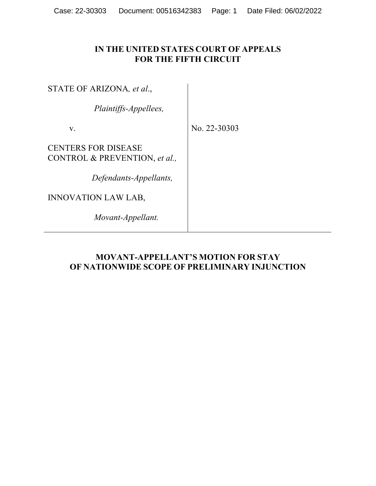# **IN THE UNITED STATES COURT OF APPEALS FOR THE FIFTH CIRCUIT**

STATE OF ARIZONA*, et al*.,

*Plaintiffs-Appellees,*

v.

No. 22-30303

CENTERS FOR DISEASE CONTROL & PREVENTION, *et al.,*

*Defendants-Appellants,*

INNOVATION LAW LAB,

*Movant-Appellant.*

# **MOVANT-APPELLANT'S MOTION FOR STAY OF NATIONWIDE SCOPE OF PRELIMINARY INJUNCTION**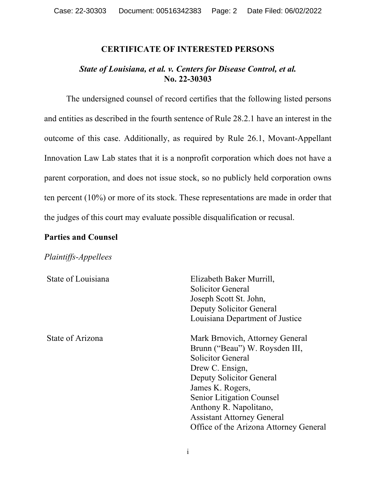## **CERTIFICATE OF INTERESTED PERSONS**

## *State of Louisiana, et al. v. Centers for Disease Control, et al.* **No. 22-30303**

The undersigned counsel of record certifies that the following listed persons and entities as described in the fourth sentence of Rule 28.2.1 have an interest in the outcome of this case. Additionally, as required by Rule 26.1, Movant-Appellant Innovation Law Lab states that it is a nonprofit corporation which does not have a parent corporation, and does not issue stock, so no publicly held corporation owns ten percent (10%) or more of its stock. These representations are made in order that the judges of this court may evaluate possible disqualification or recusal.

## **Parties and Counsel**

## *Plaintiffs-Appellees*

| State of Louisiana | Elizabeth Baker Murrill,               |
|--------------------|----------------------------------------|
|                    | Solicitor General                      |
|                    | Joseph Scott St. John,                 |
|                    | Deputy Solicitor General               |
|                    | Louisiana Department of Justice        |
| State of Arizona   | Mark Brnovich, Attorney General        |
|                    | Brunn ("Beau") W. Roysden III,         |
|                    | Solicitor General                      |
|                    | Drew C. Ensign,                        |
|                    | Deputy Solicitor General               |
|                    | James K. Rogers,                       |
|                    | <b>Senior Litigation Counsel</b>       |
|                    | Anthony R. Napolitano,                 |
|                    | <b>Assistant Attorney General</b>      |
|                    | Office of the Arizona Attorney General |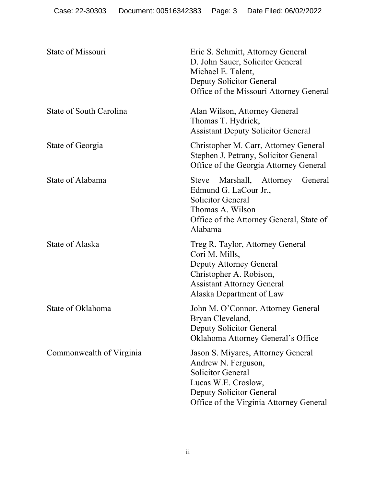| State of Missouri        | Eric S. Schmitt, Attorney General<br>D. John Sauer, Solicitor General<br>Michael E. Talent,<br>Deputy Solicitor General<br>Office of the Missouri Attorney General                  |
|--------------------------|-------------------------------------------------------------------------------------------------------------------------------------------------------------------------------------|
| State of South Carolina  | Alan Wilson, Attorney General<br>Thomas T. Hydrick,<br><b>Assistant Deputy Solicitor General</b>                                                                                    |
| State of Georgia         | Christopher M. Carr, Attorney General<br>Stephen J. Petrany, Solicitor General<br>Office of the Georgia Attorney General                                                            |
| State of Alabama         | Marshall, Attorney General<br><b>Steve</b><br>Edmund G. LaCour Jr.,<br><b>Solicitor General</b><br>Thomas A. Wilson<br>Office of the Attorney General, State of<br>Alabama          |
| State of Alaska          | Treg R. Taylor, Attorney General<br>Cori M. Mills,<br>Deputy Attorney General<br>Christopher A. Robison,<br><b>Assistant Attorney General</b><br>Alaska Department of Law           |
| State of Oklahoma        | John M. O'Connor, Attorney General<br>Bryan Cleveland,<br>Deputy Solicitor General<br>Oklahoma Attorney General's Office                                                            |
| Commonwealth of Virginia | Jason S. Miyares, Attorney General<br>Andrew N. Ferguson,<br><b>Solicitor General</b><br>Lucas W.E. Croslow,<br>Deputy Solicitor General<br>Office of the Virginia Attorney General |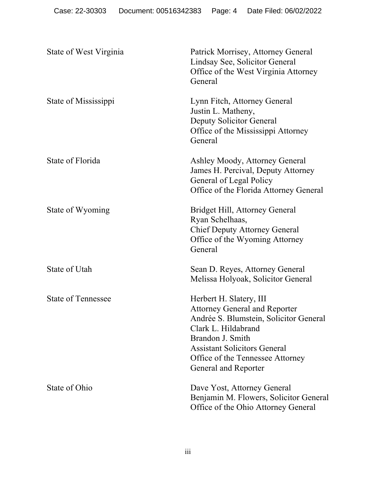| State of West Virginia    | Patrick Morrisey, Attorney General<br>Lindsay See, Solicitor General<br>Office of the West Virginia Attorney<br>General                                                                                                                                        |
|---------------------------|----------------------------------------------------------------------------------------------------------------------------------------------------------------------------------------------------------------------------------------------------------------|
| State of Mississippi      | Lynn Fitch, Attorney General<br>Justin L. Matheny,<br>Deputy Solicitor General<br>Office of the Mississippi Attorney<br>General                                                                                                                                |
| State of Florida          | Ashley Moody, Attorney General<br>James H. Percival, Deputy Attorney<br>General of Legal Policy<br>Office of the Florida Attorney General                                                                                                                      |
| State of Wyoming          | Bridget Hill, Attorney General<br>Ryan Schelhaas,<br><b>Chief Deputy Attorney General</b><br>Office of the Wyoming Attorney<br>General                                                                                                                         |
| State of Utah             | Sean D. Reyes, Attorney General<br>Melissa Holyoak, Solicitor General                                                                                                                                                                                          |
| <b>State of Tennessee</b> | Herbert H. Slatery, III<br><b>Attorney General and Reporter</b><br>Andrée S. Blumstein, Solicitor General<br>Clark L. Hildabrand<br>Brandon J. Smith<br><b>Assistant Solicitors General</b><br>Office of the Tennessee Attorney<br><b>General and Reporter</b> |
| State of Ohio             | Dave Yost, Attorney General<br>Benjamin M. Flowers, Solicitor General<br>Office of the Ohio Attorney General                                                                                                                                                   |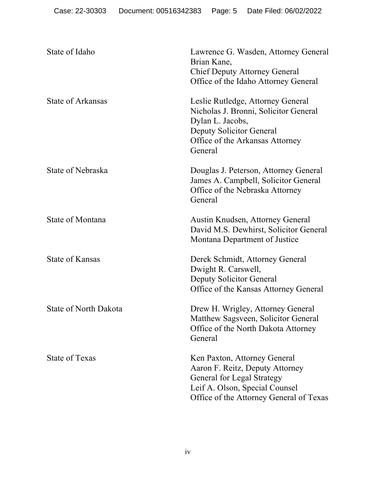| State of Idaho               | Lawrence G. Wasden, Attorney General<br>Brian Kane,<br><b>Chief Deputy Attorney General</b><br>Office of the Idaho Attorney General                                               |
|------------------------------|-----------------------------------------------------------------------------------------------------------------------------------------------------------------------------------|
| <b>State of Arkansas</b>     | Leslie Rutledge, Attorney General<br>Nicholas J. Bronni, Solicitor General<br>Dylan L. Jacobs,<br>Deputy Solicitor General<br>Office of the Arkansas Attorney<br>General          |
| State of Nebraska            | Douglas J. Peterson, Attorney General<br>James A. Campbell, Solicitor General<br>Office of the Nebraska Attorney<br>General                                                       |
| <b>State of Montana</b>      | Austin Knudsen, Attorney General<br>David M.S. Dewhirst, Solicitor General<br>Montana Department of Justice                                                                       |
| <b>State of Kansas</b>       | Derek Schmidt, Attorney General<br>Dwight R. Carswell,<br>Deputy Solicitor General<br>Office of the Kansas Attorney General                                                       |
| <b>State of North Dakota</b> | Drew H. Wrigley, Attorney General<br>Matthew Sagsveen, Solicitor General<br>Office of the North Dakota Attorney<br>General                                                        |
| State of Texas               | Ken Paxton, Attorney General<br>Aaron F. Reitz, Deputy Attorney<br><b>General for Legal Strategy</b><br>Leif A. Olson, Special Counsel<br>Office of the Attorney General of Texas |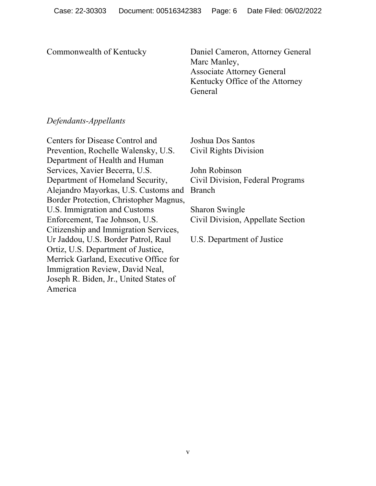Commonwealth of Kentucky

Daniel Cameron, Attorney General Marc Manley, Associate Attorney General Kentucky Office of the Attorney General

# *Defendants-Appellants*

Centers for Disease Control and Prevention, Rochelle Walensky, U.S. Department of Health and Human Services, Xavier Becerra, U.S. Department of Homeland Security, Alejandro Mayorkas, U.S. Customs and Border Protection, Christopher Magnus, U.S. Immigration and Customs Enforcement, Tae Johnson, U.S. Citizenship and Immigration Services, Ur Jaddou, U.S. Border Patrol, Raul Ortiz, U.S. Department of Justice, Merrick Garland, Executive Office for Immigration Review, David Neal, Joseph R. Biden, Jr., United States of America

Joshua Dos Santos Civil Rights Division

John Robinson Civil Division, Federal Programs Branch

Sharon Swingle Civil Division, Appellate Section

U.S. Department of Justice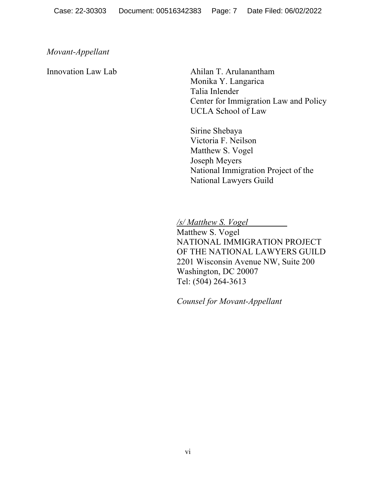## *Movant-Appellant*

## Innovation Law Lab

Ahilan T. Arulanantham Monika Y. Langarica Talia Inlender Center for Immigration Law and Policy UCLA School of Law

Sirine Shebaya Victoria F. Neilson Matthew S. Vogel Joseph Meyers National Immigration Project of the National Lawyers Guild

*/s/ Matthew S. Vogel*

Matthew S. Vogel NATIONAL IMMIGRATION PROJECT OF THE NATIONAL LAWYERS GUILD 2201 Wisconsin Avenue NW, Suite 200 Washington, DC 20007 Tel: (504) 264-3613

*Counsel for Movant-Appellant*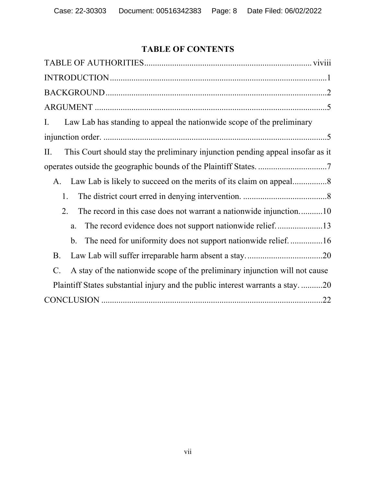# **TABLE OF CONTENTS**

| Law Lab has standing to appeal the nationwide scope of the preliminary<br>I.                   |
|------------------------------------------------------------------------------------------------|
|                                                                                                |
| This Court should stay the preliminary injunction pending appeal insofar as it<br>II.          |
|                                                                                                |
| A.                                                                                             |
| 1.                                                                                             |
| 2.<br>The record in this case does not warrant a nationwide injunction10                       |
| a.                                                                                             |
| The need for uniformity does not support nationwide relief16<br>b.                             |
| <b>B.</b>                                                                                      |
| A stay of the nationwide scope of the preliminary injunction will not cause<br>$\mathcal{C}$ . |
| Plaintiff States substantial injury and the public interest warrants a stay20                  |
|                                                                                                |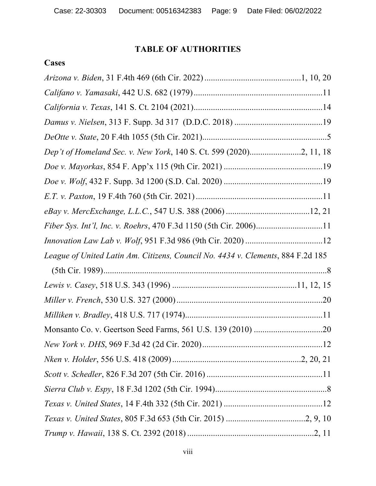# **TABLE OF AUTHORITIES**

# **Cases**

| Dep't of Homeland Sec. v. New York, 140 S. Ct. 599 (2020)2, 11, 18              |  |
|---------------------------------------------------------------------------------|--|
|                                                                                 |  |
|                                                                                 |  |
|                                                                                 |  |
|                                                                                 |  |
|                                                                                 |  |
|                                                                                 |  |
|                                                                                 |  |
| League of United Latin Am. Citizens, Council No. 4434 v. Clements, 884 F.2d 185 |  |
|                                                                                 |  |
|                                                                                 |  |
|                                                                                 |  |
|                                                                                 |  |
|                                                                                 |  |
|                                                                                 |  |
|                                                                                 |  |
|                                                                                 |  |
|                                                                                 |  |
|                                                                                 |  |
|                                                                                 |  |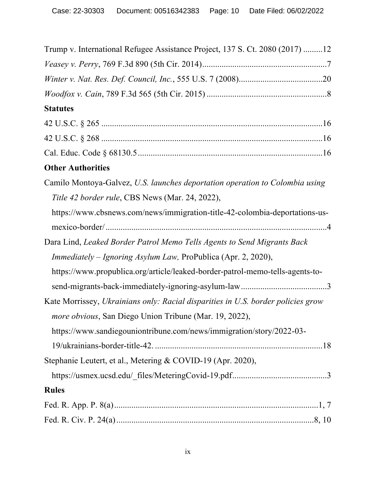| Trump v. International Refugee Assistance Project, 137 S. Ct. 2080 (2017) 12     |
|----------------------------------------------------------------------------------|
|                                                                                  |
|                                                                                  |
|                                                                                  |
| <b>Statutes</b>                                                                  |
|                                                                                  |
|                                                                                  |
|                                                                                  |
| <b>Other Authorities</b>                                                         |
| Camilo Montoya-Galvez, U.S. launches deportation operation to Colombia using     |
| Title 42 border rule, CBS News (Mar. 24, 2022),                                  |
| https://www.cbsnews.com/news/immigration-title-42-colombia-deportations-us-      |
|                                                                                  |
| Dara Lind, Leaked Border Patrol Memo Tells Agents to Send Migrants Back          |
| Immediately – Ignoring Asylum Law, ProPublica (Apr. 2, 2020),                    |
| https://www.propublica.org/article/leaked-border-patrol-memo-tells-agents-to-    |
|                                                                                  |
| Kate Morrissey, Ukrainians only: Racial disparities in U.S. border policies grow |
| more obvious, San Diego Union Tribune (Mar. 19, 2022),                           |
| https://www.sandiegouniontribune.com/news/immigration/story/2022-03-             |
|                                                                                  |
| Stephanie Leutert, et al., Metering & COVID-19 (Apr. 2020),                      |
|                                                                                  |
| <b>Rules</b>                                                                     |
|                                                                                  |
|                                                                                  |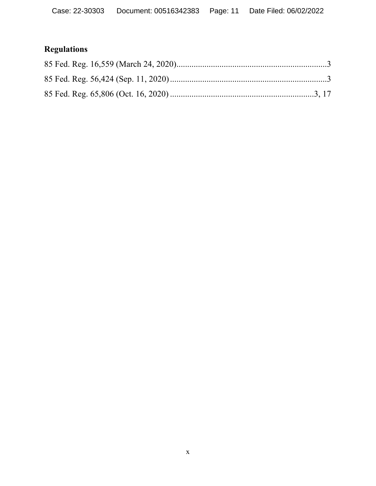# **Regulations**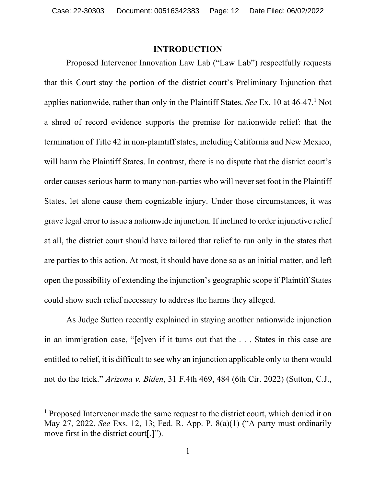### **INTRODUCTION**

Proposed Intervenor Innovation Law Lab ("Law Lab") respectfully requests that this Court stay the portion of the district court's Preliminary Injunction that applies nationwide, rather than only in the Plaintiff States. *See* Ex. 10 at 46-47.1 Not a shred of record evidence supports the premise for nationwide relief: that the termination of Title 42 in non-plaintiff states, including California and New Mexico, will harm the Plaintiff States. In contrast, there is no dispute that the district court's order causes serious harm to many non-parties who will never set foot in the Plaintiff States, let alone cause them cognizable injury. Under those circumstances, it was grave legal error to issue a nationwide injunction. If inclined to order injunctive relief at all, the district court should have tailored that relief to run only in the states that are parties to this action. At most, it should have done so as an initial matter, and left open the possibility of extending the injunction's geographic scope if Plaintiff States could show such relief necessary to address the harms they alleged.

As Judge Sutton recently explained in staying another nationwide injunction in an immigration case, "[e]ven if it turns out that the . . . States in this case are entitled to relief, it is difficult to see why an injunction applicable only to them would not do the trick." *Arizona v. Biden*, 31 F.4th 469, 484 (6th Cir. 2022) (Sutton, C.J.,

<sup>&</sup>lt;sup>1</sup> Proposed Intervenor made the same request to the district court, which denied it on May 27, 2022. *See* Exs. 12, 13; Fed. R. App. P. 8(a)(1) ("A party must ordinarily move first in the district court[.]").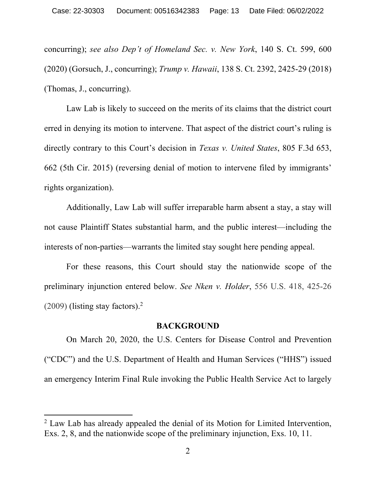concurring); *see also Dep't of Homeland Sec. v. New York*, 140 S. Ct. 599, 600 (2020) (Gorsuch, J., concurring); *Trump v. Hawaii*, 138 S. Ct. 2392, 2425-29 (2018) (Thomas, J., concurring).

Law Lab is likely to succeed on the merits of its claims that the district court erred in denying its motion to intervene. That aspect of the district court's ruling is directly contrary to this Court's decision in *Texas v. United States*, 805 F.3d 653, 662 (5th Cir. 2015) (reversing denial of motion to intervene filed by immigrants' rights organization).

Additionally, Law Lab will suffer irreparable harm absent a stay, a stay will not cause Plaintiff States substantial harm, and the public interest—including the interests of non-parties—warrants the limited stay sought here pending appeal.

For these reasons, this Court should stay the nationwide scope of the preliminary injunction entered below. *See Nken v. Holder*, 556 U.S. 418, 425-26  $(2009)$  (listing stay factors).<sup>2</sup>

### **BACKGROUND**

On March 20, 2020, the U.S. Centers for Disease Control and Prevention ("CDC") and the U.S. Department of Health and Human Services ("HHS") issued an emergency Interim Final Rule invoking the Public Health Service Act to largely

 $2$  Law Lab has already appealed the denial of its Motion for Limited Intervention, Exs. 2, 8, and the nationwide scope of the preliminary injunction, Exs. 10, 11.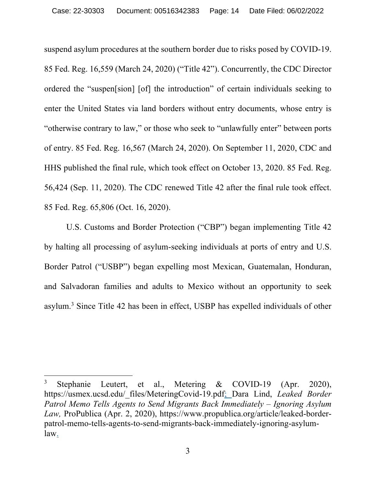suspend asylum procedures at the southern border due to risks posed by COVID-19. 85 Fed. Reg. 16,559 (March 24, 2020) ("Title 42"). Concurrently, the CDC Director ordered the "suspen[sion] [of] the introduction" of certain individuals seeking to enter the United States via land borders without entry documents, whose entry is "otherwise contrary to law," or those who seek to "unlawfully enter" between ports of entry. 85 Fed. Reg. 16,567 (March 24, 2020). On September 11, 2020, CDC and HHS published the final rule, which took effect on October 13, 2020. 85 Fed. Reg. 56,424 (Sep. 11, 2020). The CDC renewed Title 42 after the final rule took effect. 85 Fed. Reg. 65,806 (Oct. 16, 2020).

U.S. Customs and Border Protection ("CBP") began implementing Title 42 by halting all processing of asylum-seeking individuals at ports of entry and U.S. Border Patrol ("USBP") began expelling most Mexican, Guatemalan, Honduran, and Salvadoran families and adults to Mexico without an opportunity to seek asylum.3 Since Title 42 has been in effect, USBP has expelled individuals of other

Stephanie Leutert, et al., Metering & COVID-19 (Apr. 2020), https://usmex.ucsd.edu/\_files/MeteringCovid-19.pdf; Dara Lind, *Leaked Border Patrol Memo Tells Agents to Send Migrants Back Immediately – Ignoring Asylum Law,* ProPublica (Apr. 2, 2020), https://www.propublica.org/article/leaked-borderpatrol-memo-tells-agents-to-send-migrants-back-immediately-ignoring-asylumlaw.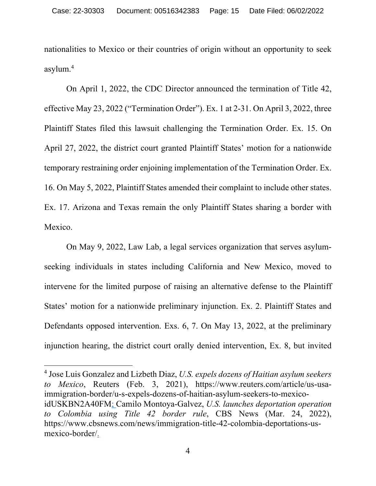nationalities to Mexico or their countries of origin without an opportunity to seek asylum.4

On April 1, 2022, the CDC Director announced the termination of Title 42, effective May 23, 2022 ("Termination Order"). Ex. 1 at 2-31. On April 3, 2022, three Plaintiff States filed this lawsuit challenging the Termination Order. Ex. 15. On April 27, 2022, the district court granted Plaintiff States' motion for a nationwide temporary restraining order enjoining implementation of the Termination Order. Ex. 16. On May 5, 2022, Plaintiff States amended their complaint to include other states. Ex. 17. Arizona and Texas remain the only Plaintiff States sharing a border with Mexico.

On May 9, 2022, Law Lab, a legal services organization that serves asylumseeking individuals in states including California and New Mexico, moved to intervene for the limited purpose of raising an alternative defense to the Plaintiff States' motion for a nationwide preliminary injunction. Ex. 2. Plaintiff States and Defendants opposed intervention. Exs. 6, 7. On May 13, 2022, at the preliminary injunction hearing, the district court orally denied intervention, Ex. 8, but invited

<sup>4</sup> Jose Luis Gonzalez and Lizbeth Diaz, *U.S. expels dozens of Haitian asylum seekers to Mexico*, Reuters (Feb. 3, 2021), https://www.reuters.com/article/us-usaimmigration-border/u-s-expels-dozens-of-haitian-asylum-seekers-to-mexicoidUSKBN2A40FM; Camilo Montoya-Galvez, *U.S. launches deportation operation to Colombia using Title 42 border rule*, CBS News (Mar. 24, 2022), https://www.cbsnews.com/news/immigration-title-42-colombia-deportations-usmexico-border/.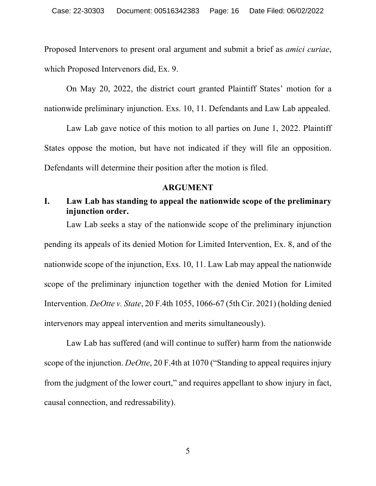Proposed Intervenors to present oral argument and submit a brief as *amici curiae*, which Proposed Intervenors did, Ex. 9.

On May 20, 2022, the district court granted Plaintiff States' motion for a nationwide preliminary injunction. Exs. 10, 11. Defendants and Law Lab appealed.

Law Lab gave notice of this motion to all parties on June 1, 2022. Plaintiff States oppose the motion, but have not indicated if they will file an opposition. Defendants will determine their position after the motion is filed.

#### **ARGUMENT**

# **I. Law Lab has standing to appeal the nationwide scope of the preliminary injunction order.**

Law Lab seeks a stay of the nationwide scope of the preliminary injunction pending its appeals of its denied Motion for Limited Intervention, Ex. 8, and of the nationwide scope of the injunction, Exs. 10, 11. Law Lab may appeal the nationwide scope of the preliminary injunction together with the denied Motion for Limited Intervention. *DeOtte v. State*, 20 F.4th 1055, 1066-67 (5th Cir. 2021) (holding denied intervenors may appeal intervention and merits simultaneously).

Law Lab has suffered (and will continue to suffer) harm from the nationwide scope of the injunction. *DeOtte*, 20 F.4th at 1070 ("Standing to appeal requires injury from the judgment of the lower court," and requires appellant to show injury in fact, causal connection, and redressability).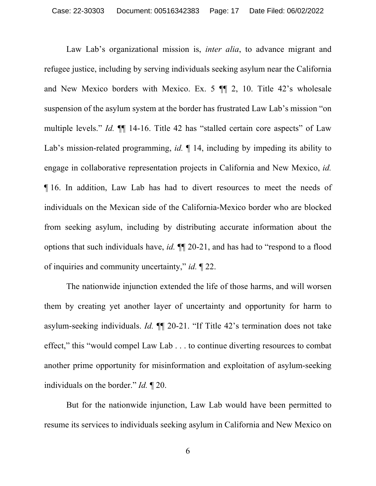Law Lab's organizational mission is, *inter alia*, to advance migrant and refugee justice, including by serving individuals seeking asylum near the California and New Mexico borders with Mexico. Ex. 5 ¶¶ 2, 10. Title 42's wholesale suspension of the asylum system at the border has frustrated Law Lab's mission "on multiple levels." *Id.* ¶¶ 14-16. Title 42 has "stalled certain core aspects" of Law Lab's mission-related programming, *id.* ¶ 14, including by impeding its ability to engage in collaborative representation projects in California and New Mexico, *id.* ¶ 16. In addition, Law Lab has had to divert resources to meet the needs of individuals on the Mexican side of the California-Mexico border who are blocked from seeking asylum, including by distributing accurate information about the options that such individuals have, *id.* ¶¶ 20-21, and has had to "respond to a flood of inquiries and community uncertainty," *id.* ¶ 22.

The nationwide injunction extended the life of those harms, and will worsen them by creating yet another layer of uncertainty and opportunity for harm to asylum-seeking individuals. *Id.* ¶¶ 20-21. "If Title 42's termination does not take effect," this "would compel Law Lab . . . to continue diverting resources to combat another prime opportunity for misinformation and exploitation of asylum-seeking individuals on the border." *Id.* ¶ 20.

But for the nationwide injunction, Law Lab would have been permitted to resume its services to individuals seeking asylum in California and New Mexico on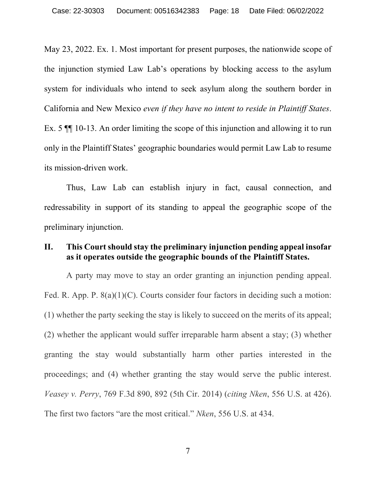May 23, 2022. Ex. 1. Most important for present purposes, the nationwide scope of the injunction stymied Law Lab's operations by blocking access to the asylum system for individuals who intend to seek asylum along the southern border in California and New Mexico *even if they have no intent to reside in Plaintiff States*. Ex. 5 ¶¶ 10-13. An order limiting the scope of this injunction and allowing it to run only in the Plaintiff States' geographic boundaries would permit Law Lab to resume its mission-driven work.

Thus, Law Lab can establish injury in fact, causal connection, and redressability in support of its standing to appeal the geographic scope of the preliminary injunction.

## **II. This Court should stay the preliminary injunction pending appeal insofar as it operates outside the geographic bounds of the Plaintiff States.**

A party may move to stay an order granting an injunction pending appeal. Fed. R. App. P. 8(a)(1)(C). Courts consider four factors in deciding such a motion: (1) whether the party seeking the stay is likely to succeed on the merits of its appeal; (2) whether the applicant would suffer irreparable harm absent a stay; (3) whether granting the stay would substantially harm other parties interested in the proceedings; and (4) whether granting the stay would serve the public interest. *Veasey v. Perry*, 769 F.3d 890, 892 (5th Cir. 2014) (*citing Nken*, 556 U.S. at 426). The first two factors "are the most critical." *Nken*, 556 U.S. at 434.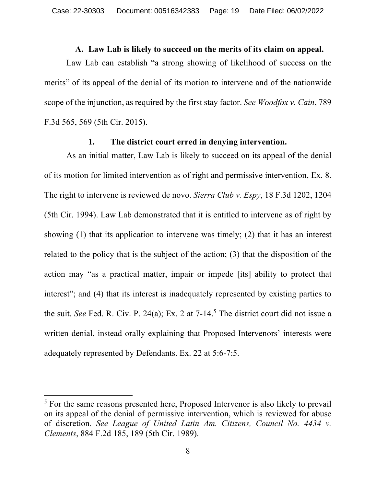### **A. Law Lab is likely to succeed on the merits of its claim on appeal.**

Law Lab can establish "a strong showing of likelihood of success on the merits" of its appeal of the denial of its motion to intervene and of the nationwide scope of the injunction, as required by the first stay factor. *See Woodfox v. Cain*, 789 F.3d 565, 569 (5th Cir. 2015).

## **1. The district court erred in denying intervention.**

As an initial matter, Law Lab is likely to succeed on its appeal of the denial of its motion for limited intervention as of right and permissive intervention, Ex. 8. The right to intervene is reviewed de novo. *Sierra Club v. Espy*, 18 F.3d 1202, 1204 (5th Cir. 1994). Law Lab demonstrated that it is entitled to intervene as of right by showing (1) that its application to intervene was timely; (2) that it has an interest related to the policy that is the subject of the action; (3) that the disposition of the action may "as a practical matter, impair or impede [its] ability to protect that interest"; and (4) that its interest is inadequately represented by existing parties to the suit. *See* Fed. R. Civ. P. 24(a); Ex. 2 at 7-14.<sup>5</sup> The district court did not issue a written denial, instead orally explaining that Proposed Intervenors' interests were adequately represented by Defendants. Ex. 22 at 5:6-7:5.

<sup>&</sup>lt;sup>5</sup> For the same reasons presented here, Proposed Intervenor is also likely to prevail on its appeal of the denial of permissive intervention, which is reviewed for abuse of discretion. *See League of United Latin Am. Citizens, Council No. 4434 v. Clements*, 884 F.2d 185, 189 (5th Cir. 1989).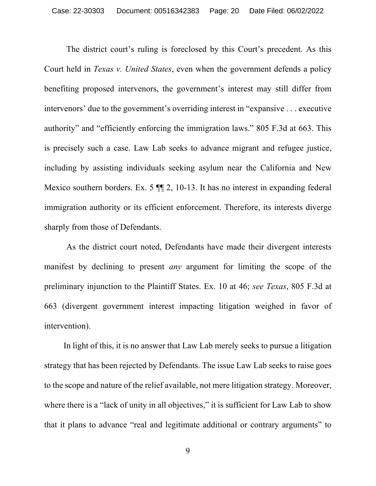The district court's ruling is foreclosed by this Court's precedent. As this Court held in *Texas v. United States*, even when the government defends a policy benefiting proposed intervenors, the government's interest may still differ from intervenors' due to the government's overriding interest in "expansive . . . executive authority" and "efficiently enforcing the immigration laws." 805 F.3d at 663. This is precisely such a case. Law Lab seeks to advance migrant and refugee justice, including by assisting individuals seeking asylum near the California and New Mexico southern borders. Ex. 5  $\P$  2, 10-13. It has no interest in expanding federal immigration authority or its efficient enforcement. Therefore, its interests diverge sharply from those of Defendants.

As the district court noted, Defendants have made their divergent interests manifest by declining to present *any* argument for limiting the scope of the preliminary injunction to the Plaintiff States. Ex. 10 at 46; *see Texas*, 805 F.3d at 663 (divergent government interest impacting litigation weighed in favor of intervention).

In light of this, it is no answer that Law Lab merely seeks to pursue a litigation strategy that has been rejected by Defendants. The issue Law Lab seeks to raise goes to the scope and nature of the relief available, not mere litigation strategy. Moreover, where there is a "lack of unity in all objectives," it is sufficient for Law Lab to show that it plans to advance "real and legitimate additional or contrary arguments" to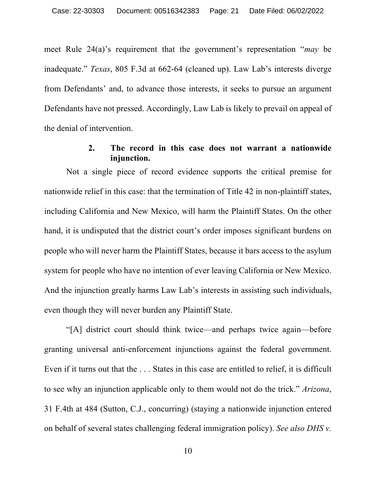meet Rule 24(a)'s requirement that the government's representation "*may* be inadequate." *Texas*, 805 F.3d at 662-64 (cleaned up). Law Lab's interests diverge from Defendants' and, to advance those interests, it seeks to pursue an argument Defendants have not pressed. Accordingly, Law Lab is likely to prevail on appeal of the denial of intervention.

## **2. The record in this case does not warrant a nationwide injunction.**

Not a single piece of record evidence supports the critical premise for nationwide relief in this case: that the termination of Title 42 in non-plaintiff states, including California and New Mexico, will harm the Plaintiff States. On the other hand, it is undisputed that the district court's order imposes significant burdens on people who will never harm the Plaintiff States, because it bars access to the asylum system for people who have no intention of ever leaving California or New Mexico. And the injunction greatly harms Law Lab's interests in assisting such individuals, even though they will never burden any Plaintiff State.

"[A] district court should think twice—and perhaps twice again—before granting universal anti-enforcement injunctions against the federal government. Even if it turns out that the . . . States in this case are entitled to relief, it is difficult to see why an injunction applicable only to them would not do the trick." *Arizona*, 31 F.4th at 484 (Sutton, C.J., concurring) (staying a nationwide injunction entered on behalf of several states challenging federal immigration policy). *See also DHS v.*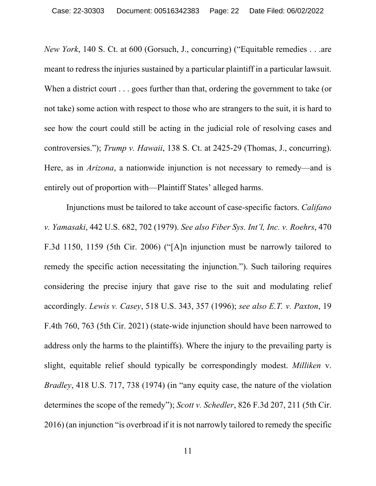*New York*, 140 S. Ct. at 600 (Gorsuch, J., concurring) ("Equitable remedies . . .are meant to redress the injuries sustained by a particular plaintiff in a particular lawsuit. When a district court . . . goes further than that, ordering the government to take (or not take) some action with respect to those who are strangers to the suit, it is hard to see how the court could still be acting in the judicial role of resolving cases and controversies."); *Trump v. Hawaii*, 138 S. Ct. at 2425-29 (Thomas, J., concurring). Here, as in *Arizona*, a nationwide injunction is not necessary to remedy—and is entirely out of proportion with—Plaintiff States' alleged harms.

Injunctions must be tailored to take account of case-specific factors. *Califano v. Yamasaki*, 442 U.S. 682, 702 (1979). *See also Fiber Sys. Int'l, Inc. v. Roehrs*, 470 F.3d 1150, 1159 (5th Cir. 2006) ("[A]n injunction must be narrowly tailored to remedy the specific action necessitating the injunction."). Such tailoring requires considering the precise injury that gave rise to the suit and modulating relief accordingly. *Lewis v. Casey*, 518 U.S. 343, 357 (1996); *see also E.T. v. Paxton*, 19 F.4th 760, 763 (5th Cir. 2021) (state-wide injunction should have been narrowed to address only the harms to the plaintiffs). Where the injury to the prevailing party is slight, equitable relief should typically be correspondingly modest. *Milliken* v. *Bradley*, 418 U.S. 717, 738 (1974) (in "any equity case, the nature of the violation determines the scope of the remedy"); *Scott v. Schedler*, 826 F.3d 207, 211 (5th Cir. 2016) (an injunction "is overbroad if it is not narrowly tailored to remedy the specific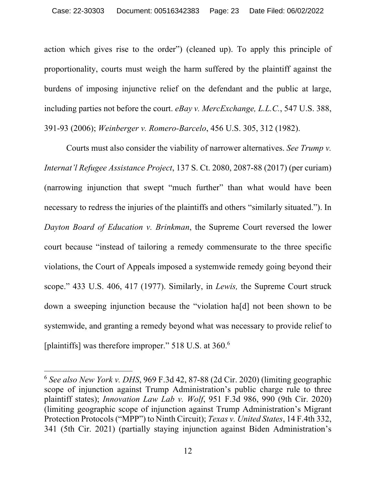action which gives rise to the order") (cleaned up). To apply this principle of proportionality, courts must weigh the harm suffered by the plaintiff against the burdens of imposing injunctive relief on the defendant and the public at large, including parties not before the court. *eBay v. MercExchange, L.L.C.*, 547 U.S. 388, 391-93 (2006); *Weinberger v. Romero-Barcelo*, 456 U.S. 305, 312 (1982).

Courts must also consider the viability of narrower alternatives. *See Trump v. Internat'l Refugee Assistance Project*, 137 S. Ct. 2080, 2087-88 (2017) (per curiam) (narrowing injunction that swept "much further" than what would have been necessary to redress the injuries of the plaintiffs and others "similarly situated."). In *Dayton Board of Education v. Brinkman*, the Supreme Court reversed the lower court because "instead of tailoring a remedy commensurate to the three specific violations, the Court of Appeals imposed a systemwide remedy going beyond their scope." 433 U.S. 406, 417 (1977). Similarly, in *Lewis,* the Supreme Court struck down a sweeping injunction because the "violation ha[d] not been shown to be systemwide, and granting a remedy beyond what was necessary to provide relief to [plaintiffs] was therefore improper." 518 U.S. at 360.<sup>6</sup>

<sup>6</sup> *See also New York v. DHS*, 969 F.3d 42, 87-88 (2d Cir. 2020) (limiting geographic scope of injunction against Trump Administration's public charge rule to three plaintiff states); *Innovation Law Lab v. Wolf*, 951 F.3d 986, 990 (9th Cir. 2020) (limiting geographic scope of injunction against Trump Administration's Migrant Protection Protocols ("MPP") to Ninth Circuit); *Texas v. United States*, 14 F.4th 332, 341 (5th Cir. 2021) (partially staying injunction against Biden Administration's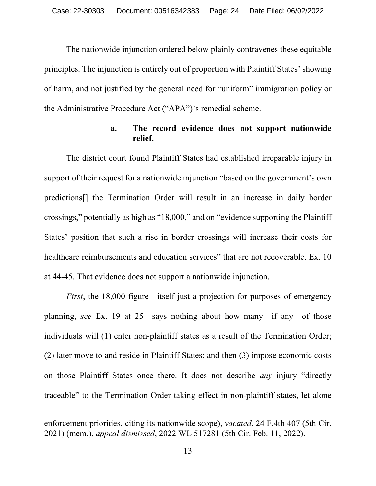The nationwide injunction ordered below plainly contravenes these equitable principles. The injunction is entirely out of proportion with Plaintiff States' showing of harm, and not justified by the general need for "uniform" immigration policy or the Administrative Procedure Act ("APA")'s remedial scheme.

## **a. The record evidence does not support nationwide relief.**

The district court found Plaintiff States had established irreparable injury in support of their request for a nationwide injunction "based on the government's own predictions[] the Termination Order will result in an increase in daily border crossings," potentially as high as "18,000," and on "evidence supporting the Plaintiff States' position that such a rise in border crossings will increase their costs for healthcare reimbursements and education services" that are not recoverable. Ex. 10 at 44-45. That evidence does not support a nationwide injunction.

*First*, the 18,000 figure—itself just a projection for purposes of emergency planning, *see* Ex. 19 at 25—says nothing about how many—if any—of those individuals will (1) enter non-plaintiff states as a result of the Termination Order; (2) later move to and reside in Plaintiff States; and then (3) impose economic costs on those Plaintiff States once there. It does not describe *any* injury "directly traceable" to the Termination Order taking effect in non-plaintiff states, let alone

enforcement priorities, citing its nationwide scope), *vacated*, 24 F.4th 407 (5th Cir. 2021) (mem.), *appeal dismissed*, 2022 WL 517281 (5th Cir. Feb. 11, 2022).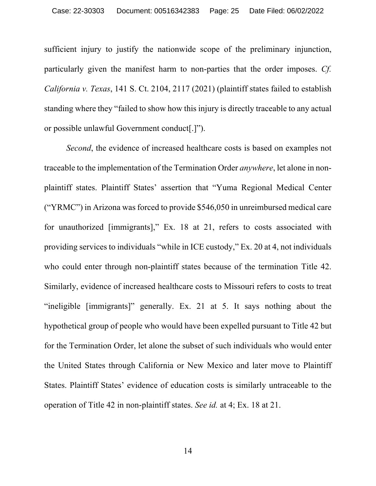sufficient injury to justify the nationwide scope of the preliminary injunction, particularly given the manifest harm to non-parties that the order imposes. *Cf. California v. Texas*, 141 S. Ct. 2104, 2117 (2021) (plaintiff states failed to establish standing where they "failed to show how this injury is directly traceable to any actual or possible unlawful Government conduct[.]").

*Second*, the evidence of increased healthcare costs is based on examples not traceable to the implementation of the Termination Order *anywhere*, let alone in nonplaintiff states. Plaintiff States' assertion that "Yuma Regional Medical Center ("YRMC") in Arizona was forced to provide \$546,050 in unreimbursed medical care for unauthorized [immigrants]," Ex. 18 at 21, refers to costs associated with providing services to individuals "while in ICE custody," Ex. 20 at 4, not individuals who could enter through non-plaintiff states because of the termination Title 42. Similarly, evidence of increased healthcare costs to Missouri refers to costs to treat "ineligible [immigrants]" generally. Ex. 21 at 5. It says nothing about the hypothetical group of people who would have been expelled pursuant to Title 42 but for the Termination Order, let alone the subset of such individuals who would enter the United States through California or New Mexico and later move to Plaintiff States. Plaintiff States' evidence of education costs is similarly untraceable to the operation of Title 42 in non-plaintiff states. *See id.* at 4; Ex. 18 at 21.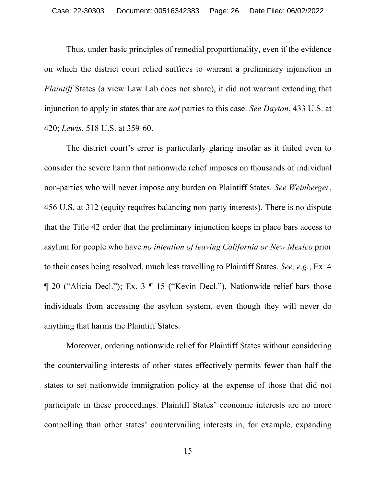Thus, under basic principles of remedial proportionality, even if the evidence on which the district court relied suffices to warrant a preliminary injunction in *Plaintiff* States (a view Law Lab does not share), it did not warrant extending that injunction to apply in states that are *not* parties to this case. *See Dayton*, 433 U.S. at 420; *Lewis*, 518 U.S. at 359-60.

The district court's error is particularly glaring insofar as it failed even to consider the severe harm that nationwide relief imposes on thousands of individual non-parties who will never impose any burden on Plaintiff States. *See Weinberger*, 456 U.S. at 312 (equity requires balancing non-party interests). There is no dispute that the Title 42 order that the preliminary injunction keeps in place bars access to asylum for people who have *no intention of leaving California or New Mexico* prior to their cases being resolved, much less travelling to Plaintiff States. *See, e.g.*, Ex. 4 ¶ 20 ("Alicia Decl."); Ex. 3 ¶ 15 ("Kevin Decl."). Nationwide relief bars those individuals from accessing the asylum system, even though they will never do anything that harms the Plaintiff States.

Moreover, ordering nationwide relief for Plaintiff States without considering the countervailing interests of other states effectively permits fewer than half the states to set nationwide immigration policy at the expense of those that did not participate in these proceedings. Plaintiff States' economic interests are no more compelling than other states' countervailing interests in, for example, expanding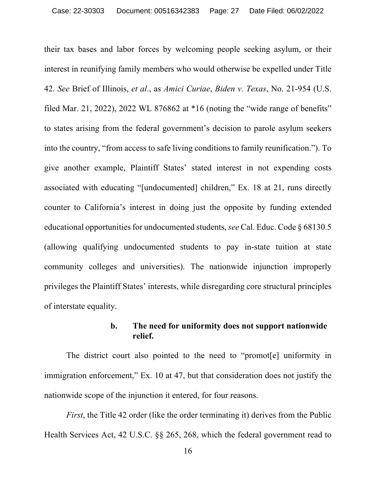their tax bases and labor forces by welcoming people seeking asylum, or their interest in reunifying family members who would otherwise be expelled under Title 42. *See* Brief of Illinois, *et al*., as *Amici Curiae*, *Biden v. Texas*, No. 21-954 (U.S. filed Mar. 21, 2022), 2022 WL 876862 at  $*16$  (noting the "wide range of benefits" to states arising from the federal government's decision to parole asylum seekers into the country, "from access to safe living conditions to family reunification."). To give another example, Plaintiff States' stated interest in not expending costs associated with educating "[undocumented] children," Ex. 18 at 21, runs directly counter to California's interest in doing just the opposite by funding extended educational opportunities for undocumented students,*see* Cal. Educ. Code § 68130.5 (allowing qualifying undocumented students to pay in-state tuition at state community colleges and universities). The nationwide injunction improperly privileges the Plaintiff States' interests, while disregarding core structural principles of interstate equality.

## **b. The need for uniformity does not support nationwide relief.**

The district court also pointed to the need to "promot[e] uniformity in immigration enforcement," Ex. 10 at 47, but that consideration does not justify the nationwide scope of the injunction it entered, for four reasons.

*First*, the Title 42 order (like the order terminating it) derives from the Public Health Services Act, 42 U.S.C. §§ 265, 268, which the federal government read to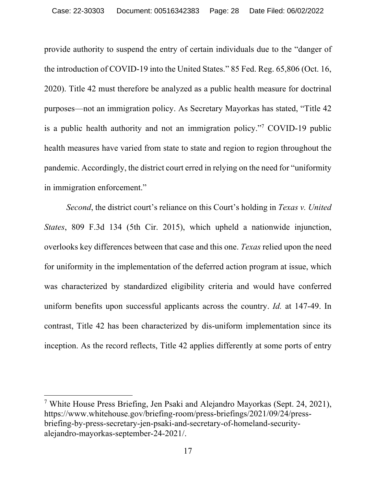provide authority to suspend the entry of certain individuals due to the "danger of the introduction of COVID-19 into the United States." 85 Fed. Reg. 65,806 (Oct. 16, 2020). Title 42 must therefore be analyzed as a public health measure for doctrinal purposes—not an immigration policy. As Secretary Mayorkas has stated, "Title 42 is a public health authority and not an immigration policy."7 COVID-19 public health measures have varied from state to state and region to region throughout the pandemic. Accordingly, the district court erred in relying on the need for "uniformity in immigration enforcement."

*Second*, the district court's reliance on this Court's holding in *Texas v. United States*, 809 F.3d 134 (5th Cir. 2015), which upheld a nationwide injunction, overlooks key differences between that case and this one. *Texas* relied upon the need for uniformity in the implementation of the deferred action program at issue, which was characterized by standardized eligibility criteria and would have conferred uniform benefits upon successful applicants across the country. *Id.* at 147-49. In contrast, Title 42 has been characterized by dis-uniform implementation since its inception. As the record reflects, Title 42 applies differently at some ports of entry

<sup>7</sup> White House Press Briefing, Jen Psaki and Alejandro Mayorkas (Sept. 24, 2021), https://www.whitehouse.gov/briefing-room/press-briefings/2021/09/24/pressbriefing-by-press-secretary-jen-psaki-and-secretary-of-homeland-securityalejandro-mayorkas-september-24-2021/.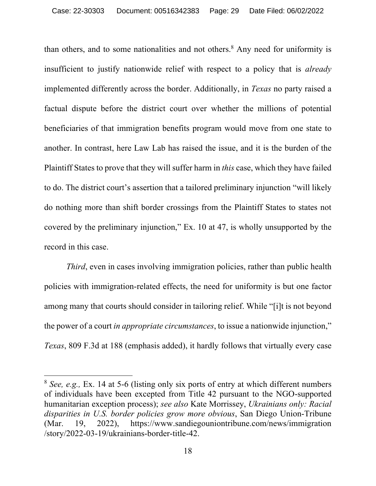than others, and to some nationalities and not others.<sup>8</sup> Any need for uniformity is insufficient to justify nationwide relief with respect to a policy that is *already* implemented differently across the border. Additionally, in *Texas* no party raised a factual dispute before the district court over whether the millions of potential beneficiaries of that immigration benefits program would move from one state to another. In contrast, here Law Lab has raised the issue, and it is the burden of the Plaintiff States to prove that they will suffer harm in *this* case, which they have failed to do. The district court's assertion that a tailored preliminary injunction "will likely do nothing more than shift border crossings from the Plaintiff States to states not covered by the preliminary injunction," Ex. 10 at 47, is wholly unsupported by the record in this case.

*Third*, even in cases involving immigration policies, rather than public health policies with immigration-related effects, the need for uniformity is but one factor among many that courts should consider in tailoring relief. While "[i]t is not beyond the power of a court *in appropriate circumstances*, to issue a nationwide injunction," *Texas*, 809 F.3d at 188 (emphasis added), it hardly follows that virtually every case

<sup>8</sup> *See, e.g.,* Ex. 14 at 5-6 (listing only six ports of entry at which different numbers of individuals have been excepted from Title 42 pursuant to the NGO-supported humanitarian exception process); *see also* Kate Morrissey, *Ukrainians only: Racial disparities in U.S. border policies grow more obvious*, San Diego Union-Tribune (Mar. 19, 2022), https://www.sandiegouniontribune.com/news/immigration /story/2022-03-19/ukrainians-border-title-42.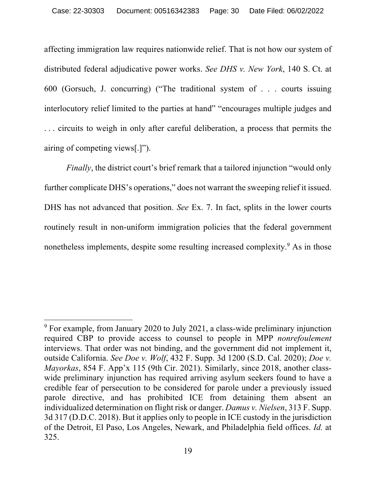affecting immigration law requires nationwide relief. That is not how our system of distributed federal adjudicative power works. *See DHS v. New York*, 140 S. Ct. at 600 (Gorsuch, J. concurring) ("The traditional system of . . . courts issuing interlocutory relief limited to the parties at hand" "encourages multiple judges and . . . circuits to weigh in only after careful deliberation, a process that permits the airing of competing views[.]").

*Finally*, the district court's brief remark that a tailored injunction "would only further complicate DHS's operations," does not warrant the sweeping relief it issued. DHS has not advanced that position. *See* Ex. 7. In fact, splits in the lower courts routinely result in non-uniform immigration policies that the federal government nonetheless implements, despite some resulting increased complexity.<sup>9</sup> As in those

<sup>&</sup>lt;sup>9</sup> For example, from January 2020 to July 2021, a class-wide preliminary injunction required CBP to provide access to counsel to people in MPP *nonrefoulement*  interviews. That order was not binding, and the government did not implement it, outside California. *See Doe v. Wolf*, 432 F. Supp. 3d 1200 (S.D. Cal. 2020); *Doe v. Mayorkas*, 854 F. App'x 115 (9th Cir. 2021). Similarly, since 2018, another classwide preliminary injunction has required arriving asylum seekers found to have a credible fear of persecution to be considered for parole under a previously issued parole directive, and has prohibited ICE from detaining them absent an individualized determination on flight risk or danger. *Damus v. Nielsen*, 313 F. Supp. 3d 317 (D.D.C. 2018). But it applies only to people in ICE custody in the jurisdiction of the Detroit, El Paso, Los Angeles, Newark, and Philadelphia field offices. *Id.* at 325.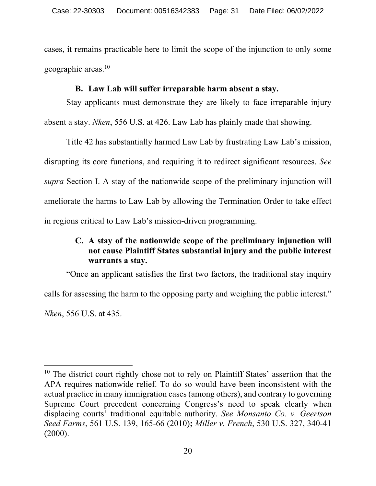cases, it remains practicable here to limit the scope of the injunction to only some geographic areas.10

## **B. Law Lab will suffer irreparable harm absent a stay.**

Stay applicants must demonstrate they are likely to face irreparable injury

absent a stay. *Nken*, 556 U.S. at 426. Law Lab has plainly made that showing.

Title 42 has substantially harmed Law Lab by frustrating Law Lab's mission, disrupting its core functions, and requiring it to redirect significant resources. *See supra* Section I. A stay of the nationwide scope of the preliminary injunction will ameliorate the harms to Law Lab by allowing the Termination Order to take effect in regions critical to Law Lab's mission-driven programming.

# **C. A stay of the nationwide scope of the preliminary injunction will not cause Plaintiff States substantial injury and the public interest warrants a stay.**

"Once an applicant satisfies the first two factors, the traditional stay inquiry calls for assessing the harm to the opposing party and weighing the public interest."

*Nken*, 556 U.S. at 435.

<sup>&</sup>lt;sup>10</sup> The district court rightly chose not to rely on Plaintiff States' assertion that the APA requires nationwide relief. To do so would have been inconsistent with the actual practice in many immigration cases (among others), and contrary to governing Supreme Court precedent concerning Congress's need to speak clearly when displacing courts' traditional equitable authority. *See Monsanto Co. v. Geertson Seed Farms*, 561 U.S. 139, 165-66 (2010)**;** *Miller v. French*, 530 U.S. 327, 340-41  $(2000).$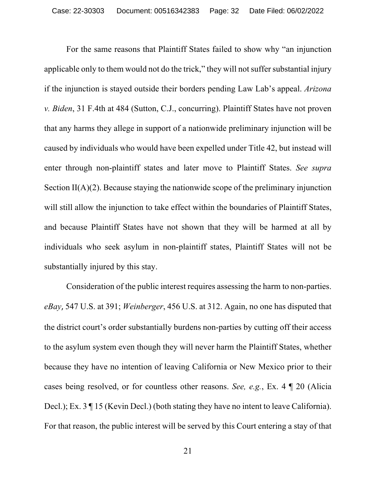For the same reasons that Plaintiff States failed to show why "an injunction applicable only to them would not do the trick," they will not suffer substantial injury if the injunction is stayed outside their borders pending Law Lab's appeal. *Arizona v. Biden*, 31 F.4th at 484 (Sutton, C.J., concurring). Plaintiff States have not proven that any harms they allege in support of a nationwide preliminary injunction will be caused by individuals who would have been expelled under Title 42, but instead will enter through non-plaintiff states and later move to Plaintiff States. *See supra*  Section II(A)(2). Because staying the nationwide scope of the preliminary injunction will still allow the injunction to take effect within the boundaries of Plaintiff States, and because Plaintiff States have not shown that they will be harmed at all by individuals who seek asylum in non-plaintiff states, Plaintiff States will not be substantially injured by this stay.

Consideration of the public interest requires assessing the harm to non-parties. *eBay*, 547 U.S. at 391; *Weinberger*, 456 U.S. at 312. Again, no one has disputed that the district court's order substantially burdens non-parties by cutting off their access to the asylum system even though they will never harm the Plaintiff States, whether because they have no intention of leaving California or New Mexico prior to their cases being resolved, or for countless other reasons. *See, e.g.*, Ex. 4 ¶ 20 (Alicia Decl.); Ex. 3  $\P$  15 (Kevin Decl.) (both stating they have no intent to leave California). For that reason, the public interest will be served by this Court entering a stay of that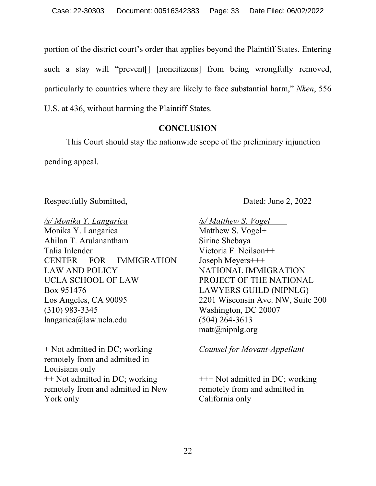portion of the district court's order that applies beyond the Plaintiff States. Entering such a stay will "prevent[] [noncitizens] from being wrongfully removed, particularly to countries where they are likely to face substantial harm," *Nken*, 556 U.S. at 436, without harming the Plaintiff States.

## **CONCLUSION**

This Court should stay the nationwide scope of the preliminary injunction

pending appeal.

Respectfully Submitted, Dated: June 2, 2022

*/s/ Monika Y. Langarica* Monika Y. Langarica Ahilan T. Arulanantham Talia Inlender CENTER FOR IMMIGRATION LAW AND POLICY UCLA SCHOOL OF LAW Box 951476 Los Angeles, CA 90095 (310) 983-3345 langarica@law.ucla.edu

+ Not admitted in DC; working remotely from and admitted in Louisiana only ++ Not admitted in DC; working remotely from and admitted in New York only

*/s/ Matthew S. Vogel* 

Matthew S. Vogel+ Sirine Shebaya Victoria F. Neilson++ Joseph Meyers+++ NATIONAL IMMIGRATION PROJECT OF THE NATIONAL LAWYERS GUILD (NIPNLG) 2201 Wisconsin Ave. NW, Suite 200 Washington, DC 20007 (504) 264-3613  $\text{matt}(a)$ nipnlg.org

*Counsel for Movant-Appellant*

+++ Not admitted in DC; working remotely from and admitted in California only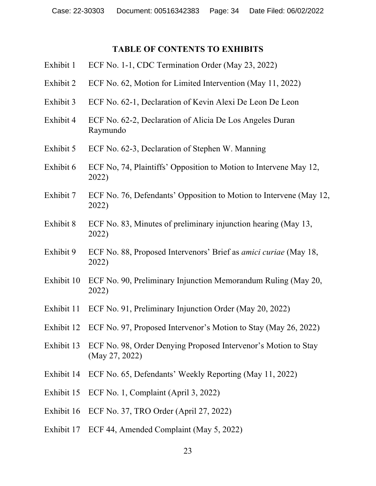### **TABLE OF CONTENTS TO EXHIBITS**

- Exhibit 1 ECF No. 1-1, CDC Termination Order (May 23, 2022)
- Exhibit 2 ECF No. 62, Motion for Limited Intervention (May 11, 2022)
- Exhibit 3 ECF No. 62-1, Declaration of Kevin Alexi De Leon De Leon
- Exhibit 4 ECF No. 62-2, Declaration of Alicia De Los Angeles Duran Raymundo
- Exhibit 5 ECF No. 62-3, Declaration of Stephen W. Manning
- Exhibit 6 ECF No, 74, Plaintiffs' Opposition to Motion to Intervene May 12, 2022)
- Exhibit 7 ECF No. 76, Defendants' Opposition to Motion to Intervene (May 12, 2022)
- Exhibit 8 ECF No. 83, Minutes of preliminary injunction hearing (May 13, 2022)
- Exhibit 9 ECF No. 88, Proposed Intervenors' Brief as *amici curiae* (May 18, 2022)
- Exhibit 10 ECF No. 90, Preliminary Injunction Memorandum Ruling (May 20, 2022)
- Exhibit 11 ECF No. 91, Preliminary Injunction Order (May 20, 2022)
- Exhibit 12 ECF No. 97, Proposed Intervenor's Motion to Stay (May 26, 2022)
- Exhibit 13 ECF No. 98, Order Denying Proposed Intervenor's Motion to Stay (May 27, 2022)
- Exhibit 14 ECF No. 65, Defendants' Weekly Reporting (May 11, 2022)
- Exhibit 15 ECF No. 1, Complaint (April 3, 2022)
- Exhibit 16 ECF No. 37, TRO Order (April 27, 2022)
- Exhibit 17 ECF 44, Amended Complaint (May 5, 2022)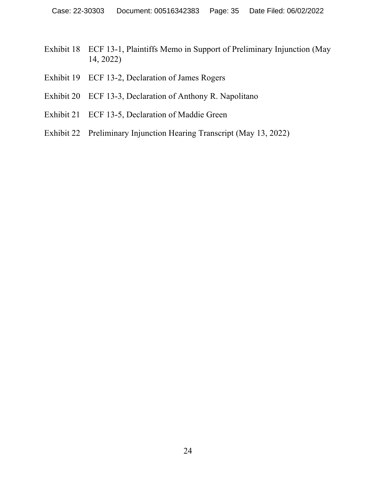- Exhibit 18 ECF 13-1, Plaintiffs Memo in Support of Preliminary Injunction (May 14, 2022)
- Exhibit 19 ECF 13-2, Declaration of James Rogers
- Exhibit 20 ECF 13-3, Declaration of Anthony R. Napolitano
- Exhibit 21 ECF 13-5, Declaration of Maddie Green
- Exhibit 22 Preliminary Injunction Hearing Transcript (May 13, 2022)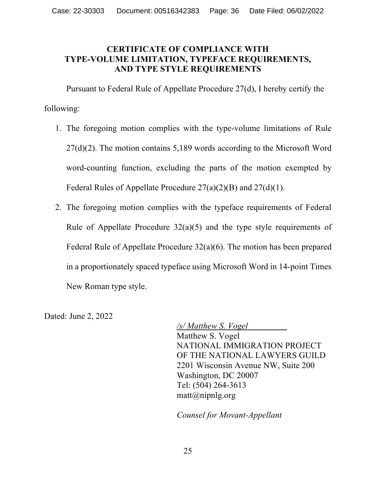## **CERTIFICATE OF COMPLIANCE WITH TYPE-VOLUME LIMITATION, TYPEFACE REQUIREMENTS, AND TYPE STYLE REQUIREMENTS**

Pursuant to Federal Rule of Appellate Procedure 27(d), I hereby certify the following:

- 1. The foregoing motion complies with the type-volume limitations of Rule 27(d)(2). The motion contains 5,189 words according to the Microsoft Word word-counting function, excluding the parts of the motion exempted by Federal Rules of Appellate Procedure 27(a)(2)(B) and 27(d)(1).
- 2. The foregoing motion complies with the typeface requirements of Federal Rule of Appellate Procedure  $32(a)(5)$  and the type style requirements of Federal Rule of Appellate Procedure 32(a)(6). The motion has been prepared in a proportionately spaced typeface using Microsoft Word in 14-point Times New Roman type style.

Dated: June 2, 2022

*/s/ Matthew S. Vogel* Matthew S. Vogel NATIONAL IMMIGRATION PROJECT OF THE NATIONAL LAWYERS GUILD 2201 Wisconsin Avenue NW, Suite 200 Washington, DC 20007 Tel: (504) 264-3613 matt@nipnlg.org

*Counsel for Movant-Appellant*